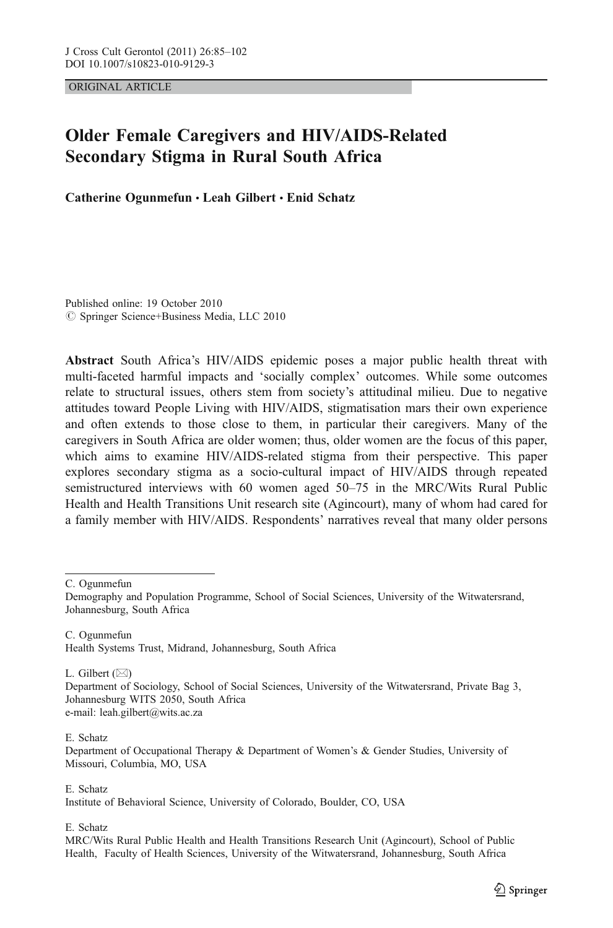ORIGINAL ARTICLE

# Older Female Caregivers and HIV/AIDS-Related Secondary Stigma in Rural South Africa

Catherine Ogunmefun • Leah Gilbert • Enid Schatz

Published online: 19 October 2010  $\circ$  Springer Science+Business Media, LLC 2010

Abstract South Africa's HIV/AIDS epidemic poses a major public health threat with multi-faceted harmful impacts and 'socially complex' outcomes. While some outcomes relate to structural issues, others stem from society's attitudinal milieu. Due to negative attitudes toward People Living with HIV/AIDS, stigmatisation mars their own experience and often extends to those close to them, in particular their caregivers. Many of the caregivers in South Africa are older women; thus, older women are the focus of this paper, which aims to examine HIV/AIDS-related stigma from their perspective. This paper explores secondary stigma as a socio-cultural impact of HIV/AIDS through repeated semistructured interviews with 60 women aged 50–75 in the MRC/Wits Rural Public Health and Health Transitions Unit research site (Agincourt), many of whom had cared for a family member with HIV/AIDS. Respondents' narratives reveal that many older persons

C. Ogunmefun

Demography and Population Programme, School of Social Sciences, University of the Witwatersrand, Johannesburg, South Africa

C. Ogunmefun Health Systems Trust, Midrand, Johannesburg, South Africa

L. Gilbert  $(\boxtimes)$ 

Department of Sociology, School of Social Sciences, University of the Witwatersrand, Private Bag 3, Johannesburg WITS 2050, South Africa e-mail: leah.gilbert@wits.ac.za

E. Schatz

E. Schatz

Institute of Behavioral Science, University of Colorado, Boulder, CO, USA

E. Schatz

Department of Occupational Therapy & Department of Women's & Gender Studies, University of Missouri, Columbia, MO, USA

MRC/Wits Rural Public Health and Health Transitions Research Unit (Agincourt), School of Public Health, Faculty of Health Sciences, University of the Witwatersrand, Johannesburg, South Africa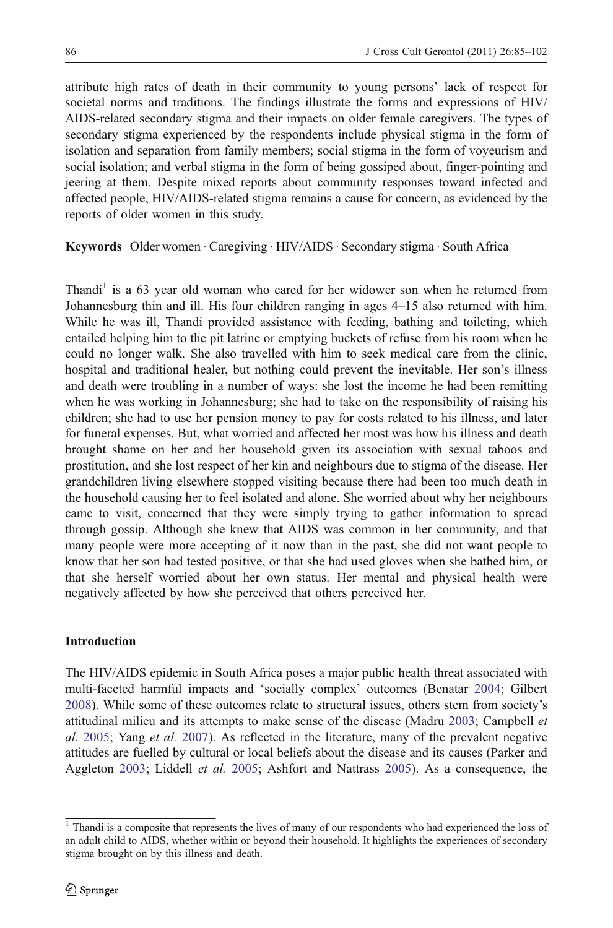attribute high rates of death in their community to young persons' lack of respect for societal norms and traditions. The findings illustrate the forms and expressions of HIV/ AIDS-related secondary stigma and their impacts on older female caregivers. The types of secondary stigma experienced by the respondents include physical stigma in the form of isolation and separation from family members; social stigma in the form of voyeurism and social isolation; and verbal stigma in the form of being gossiped about, finger-pointing and jeering at them. Despite mixed reports about community responses toward infected and affected people, HIV/AIDS-related stigma remains a cause for concern, as evidenced by the reports of older women in this study.

Keywords Older women . Caregiving . HIV/AIDS . Secondary stigma . South Africa

Thandi<sup>1</sup> is a 63 year old woman who cared for her widower son when he returned from Johannesburg thin and ill. His four children ranging in ages 4–15 also returned with him. While he was ill, Thandi provided assistance with feeding, bathing and toileting, which entailed helping him to the pit latrine or emptying buckets of refuse from his room when he could no longer walk. She also travelled with him to seek medical care from the clinic, hospital and traditional healer, but nothing could prevent the inevitable. Her son's illness and death were troubling in a number of ways: she lost the income he had been remitting when he was working in Johannesburg; she had to take on the responsibility of raising his children; she had to use her pension money to pay for costs related to his illness, and later for funeral expenses. But, what worried and affected her most was how his illness and death brought shame on her and her household given its association with sexual taboos and prostitution, and she lost respect of her kin and neighbours due to stigma of the disease. Her grandchildren living elsewhere stopped visiting because there had been too much death in the household causing her to feel isolated and alone. She worried about why her neighbours came to visit, concerned that they were simply trying to gather information to spread through gossip. Although she knew that AIDS was common in her community, and that many people were more accepting of it now than in the past, she did not want people to know that her son had tested positive, or that she had used gloves when she bathed him, or that she herself worried about her own status. Her mental and physical health were negatively affected by how she perceived that others perceived her.

# Introduction

The HIV/AIDS epidemic in South Africa poses a major public health threat associated with multi-faceted harmful impacts and 'socially complex' outcomes (Benatar [2004](#page-15-0); Gilbert [2008\)](#page-16-0). While some of these outcomes relate to structural issues, others stem from society's attitudinal milieu and its attempts to make sense of the disease (Madru [2003;](#page-16-0) Campbell et al. [2005;](#page-16-0) Yang et al. [2007](#page-17-0)). As reflected in the literature, many of the prevalent negative attitudes are fuelled by cultural or local beliefs about the disease and its causes (Parker and Aggleton [2003;](#page-16-0) Liddell et al. [2005](#page-15-0); Ashfort and Nattrass 2005). As a consequence, the

<sup>&</sup>lt;sup>1</sup> Thandi is a composite that represents the lives of many of our respondents who had experienced the loss of an adult child to AIDS, whether within or beyond their household. It highlights the experiences of secondary stigma brought on by this illness and death.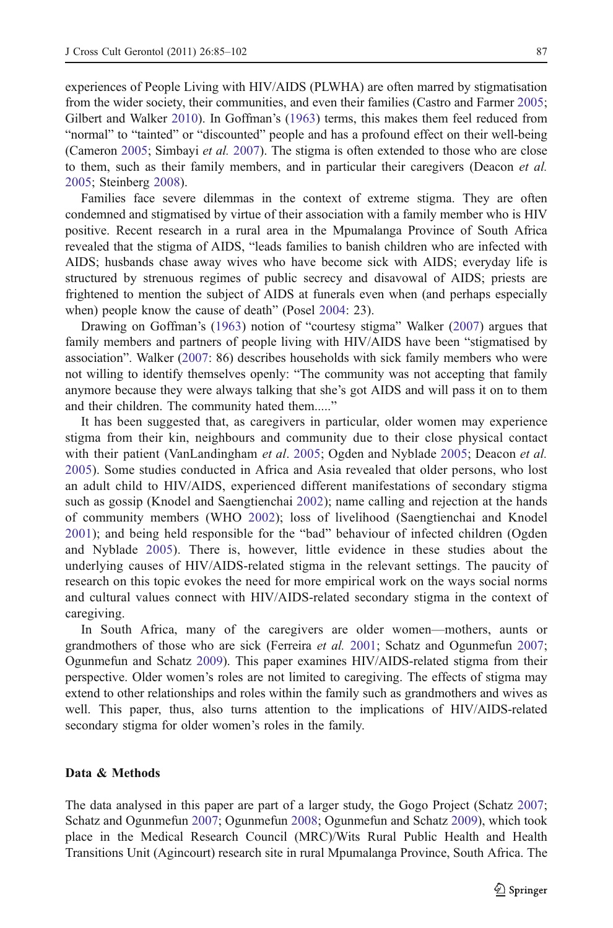experiences of People Living with HIV/AIDS (PLWHA) are often marred by stigmatisation from the wider society, their communities, and even their families (Castro and Farmer [2005](#page-16-0); Gilbert and Walker [2010\)](#page-16-0). In Goffman's ([1963\)](#page-16-0) terms, this makes them feel reduced from "normal" to "tainted" or "discounted" people and has a profound effect on their well-being (Cameron [2005;](#page-15-0) Simbayi et al. [2007](#page-17-0)). The stigma is often extended to those who are close to them, such as their family members, and in particular their caregivers (Deacon *et al.*) [2005;](#page-16-0) Steinberg [2008](#page-17-0)).

Families face severe dilemmas in the context of extreme stigma. They are often condemned and stigmatised by virtue of their association with a family member who is HIV positive. Recent research in a rural area in the Mpumalanga Province of South Africa revealed that the stigma of AIDS, "leads families to banish children who are infected with AIDS; husbands chase away wives who have become sick with AIDS; everyday life is structured by strenuous regimes of public secrecy and disavowal of AIDS; priests are frightened to mention the subject of AIDS at funerals even when (and perhaps especially when) people know the cause of death" (Posel [2004:](#page-16-0) 23).

Drawing on Goffman's [\(1963](#page-16-0)) notion of "courtesy stigma" Walker ([2007\)](#page-17-0) argues that family members and partners of people living with HIV/AIDS have been "stigmatised by association". Walker ([2007](#page-17-0): 86) describes households with sick family members who were not willing to identify themselves openly: "The community was not accepting that family anymore because they were always talking that she's got AIDS and will pass it on to them and their children. The community hated them....."

It has been suggested that, as caregivers in particular, older women may experience stigma from their kin, neighbours and community due to their close physical contact with their patient (VanLandingham et al. [2005](#page-16-0); Ogden and Nyblade 2005; Deacon et al. [2005](#page-16-0)). Some studies conducted in Africa and Asia revealed that older persons, who lost an adult child to HIV/AIDS, experienced different manifestations of secondary stigma such as gossip (Knodel and Saengtienchai [2002](#page-16-0)); name calling and rejection at the hands of community members (WHO [2002](#page-17-0)); loss of livelihood (Saengtienchai and Knodel [2001](#page-17-0)); and being held responsible for the "bad" behaviour of infected children (Ogden and Nyblade [2005](#page-16-0)). There is, however, little evidence in these studies about the underlying causes of HIV/AIDS-related stigma in the relevant settings. The paucity of research on this topic evokes the need for more empirical work on the ways social norms and cultural values connect with HIV/AIDS-related secondary stigma in the context of caregiving.

In South Africa, many of the caregivers are older women—mothers, aunts or grandmothers of those who are sick (Ferreira et al. [2001](#page-16-0); Schatz and Ogunmefun [2007](#page-17-0); Ogunmefun and Schatz [2009\)](#page-16-0). This paper examines HIV/AIDS-related stigma from their perspective. Older women's roles are not limited to caregiving. The effects of stigma may extend to other relationships and roles within the family such as grandmothers and wives as well. This paper, thus, also turns attention to the implications of HIV/AIDS-related secondary stigma for older women's roles in the family.

# Data & Methods

The data analysed in this paper are part of a larger study, the Gogo Project (Schatz [2007](#page-17-0); Schatz and Ogunmefun [2007;](#page-17-0) Ogunmefun [2008;](#page-16-0) Ogunmefun and Schatz [2009\)](#page-16-0), which took place in the Medical Research Council (MRC)/Wits Rural Public Health and Health Transitions Unit (Agincourt) research site in rural Mpumalanga Province, South Africa. The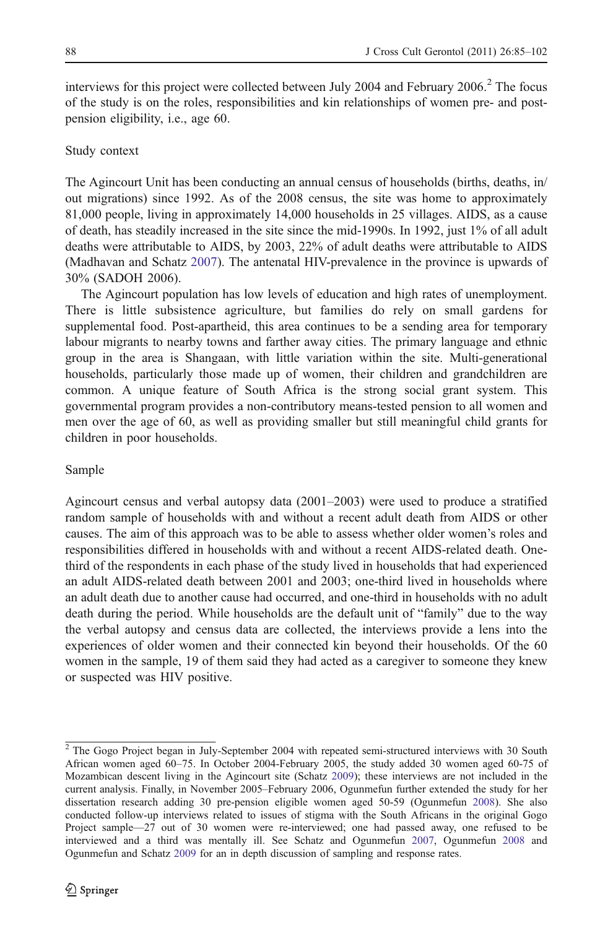interviews for this project were collected between July 2004 and February 2006.<sup>2</sup> The focus of the study is on the roles, responsibilities and kin relationships of women pre- and postpension eligibility, i.e., age 60.

# Study context

The Agincourt Unit has been conducting an annual census of households (births, deaths, in/ out migrations) since 1992. As of the 2008 census, the site was home to approximately 81,000 people, living in approximately 14,000 households in 25 villages. AIDS, as a cause of death, has steadily increased in the site since the mid-1990s. In 1992, just 1% of all adult deaths were attributable to AIDS, by 2003, 22% of adult deaths were attributable to AIDS (Madhavan and Schatz [2007\)](#page-17-0). The antenatal HIV-prevalence in the province is upwards of 30% (SADOH 2006).

The Agincourt population has low levels of education and high rates of unemployment. There is little subsistence agriculture, but families do rely on small gardens for supplemental food. Post-apartheid, this area continues to be a sending area for temporary labour migrants to nearby towns and farther away cities. The primary language and ethnic group in the area is Shangaan, with little variation within the site. Multi-generational households, particularly those made up of women, their children and grandchildren are common. A unique feature of South Africa is the strong social grant system. This governmental program provides a non-contributory means-tested pension to all women and men over the age of 60, as well as providing smaller but still meaningful child grants for children in poor households.

# Sample

Agincourt census and verbal autopsy data (2001–2003) were used to produce a stratified random sample of households with and without a recent adult death from AIDS or other causes. The aim of this approach was to be able to assess whether older women's roles and responsibilities differed in households with and without a recent AIDS-related death. Onethird of the respondents in each phase of the study lived in households that had experienced an adult AIDS-related death between 2001 and 2003; one-third lived in households where an adult death due to another cause had occurred, and one-third in households with no adult death during the period. While households are the default unit of "family" due to the way the verbal autopsy and census data are collected, the interviews provide a lens into the experiences of older women and their connected kin beyond their households. Of the 60 women in the sample, 19 of them said they had acted as a caregiver to someone they knew or suspected was HIV positive.

<sup>&</sup>lt;sup>2</sup> The Gogo Project began in July-September 2004 with repeated semi-structured interviews with 30 South African women aged 60–75. In October 2004-February 2005, the study added 30 women aged 60-75 of Mozambican descent living in the Agincourt site (Schatz [2009\)](#page-17-0); these interviews are not included in the current analysis. Finally, in November 2005–February 2006, Ogunmefun further extended the study for her dissertation research adding 30 pre-pension eligible women aged 50-59 (Ogunmefun [2008\)](#page-16-0). She also conducted follow-up interviews related to issues of stigma with the South Africans in the original Gogo Project sample—27 out of 30 women were re-interviewed; one had passed away, one refused to be interviewed and a third was mentally ill. See Schatz and Ogunmefun [2007](#page-17-0), Ogunmefun [2008](#page-16-0) and Ogunmefun and Schatz [2009](#page-16-0) for an in depth discussion of sampling and response rates.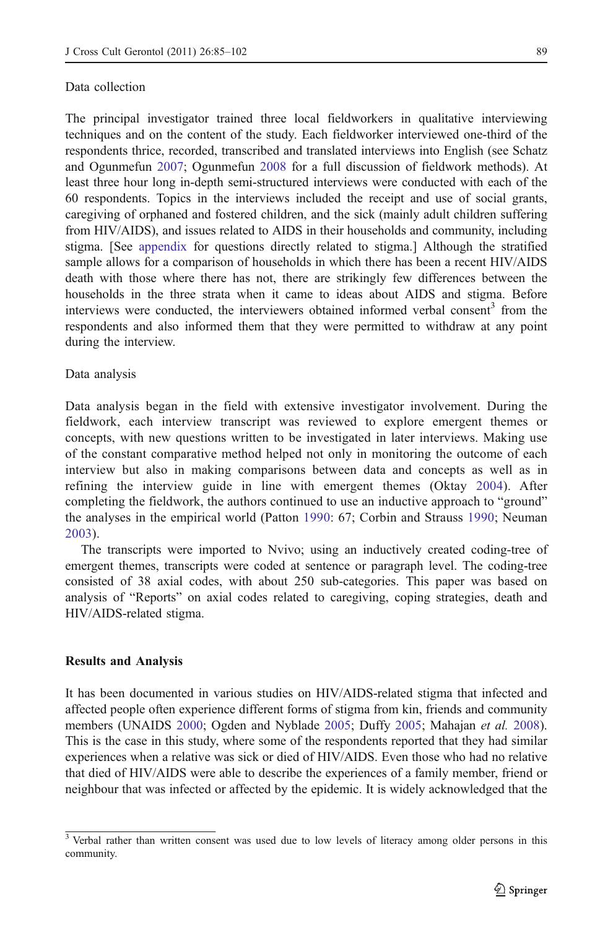The principal investigator trained three local fieldworkers in qualitative interviewing techniques and on the content of the study. Each fieldworker interviewed one-third of the respondents thrice, recorded, transcribed and translated interviews into English (see Schatz and Ogunmefun [2007;](#page-17-0) Ogunmefun [2008](#page-16-0) for a full discussion of fieldwork methods). At least three hour long in-depth semi-structured interviews were conducted with each of the 60 respondents. Topics in the interviews included the receipt and use of social grants, caregiving of orphaned and fostered children, and the sick (mainly adult children suffering from HIV/AIDS), and issues related to AIDS in their households and community, including stigma. [See [appendix](#page-15-0) for questions directly related to stigma.] Although the stratified sample allows for a comparison of households in which there has been a recent HIV/AIDS death with those where there has not, there are strikingly few differences between the households in the three strata when it came to ideas about AIDS and stigma. Before interviews were conducted, the interviewers obtained informed verbal consent<sup>3</sup> from the respondents and also informed them that they were permitted to withdraw at any point during the interview.

# Data analysis

Data analysis began in the field with extensive investigator involvement. During the fieldwork, each interview transcript was reviewed to explore emergent themes or concepts, with new questions written to be investigated in later interviews. Making use of the constant comparative method helped not only in monitoring the outcome of each interview but also in making comparisons between data and concepts as well as in refining the interview guide in line with emergent themes (Oktay [2004\)](#page-16-0). After completing the fieldwork, the authors continued to use an inductive approach to "ground" the analyses in the empirical world (Patton [1990:](#page-16-0) 67; Corbin and Strauss [1990;](#page-16-0) Neuman [2003](#page-16-0)).

The transcripts were imported to Nvivo; using an inductively created coding-tree of emergent themes, transcripts were coded at sentence or paragraph level. The coding-tree consisted of 38 axial codes, with about 250 sub-categories. This paper was based on analysis of "Reports" on axial codes related to caregiving, coping strategies, death and HIV/AIDS-related stigma.

# Results and Analysis

It has been documented in various studies on HIV/AIDS-related stigma that infected and affected people often experience different forms of stigma from kin, friends and community members (UNAIDS [2000;](#page-17-0) Ogden and Nyblade [2005;](#page-16-0) Duffy [2005](#page-16-0); Mahajan et al. [2008](#page-16-0)). This is the case in this study, where some of the respondents reported that they had similar experiences when a relative was sick or died of HIV/AIDS. Even those who had no relative that died of HIV/AIDS were able to describe the experiences of a family member, friend or neighbour that was infected or affected by the epidemic. It is widely acknowledged that the

<sup>&</sup>lt;sup>3</sup> Verbal rather than written consent was used due to low levels of literacy among older persons in this community.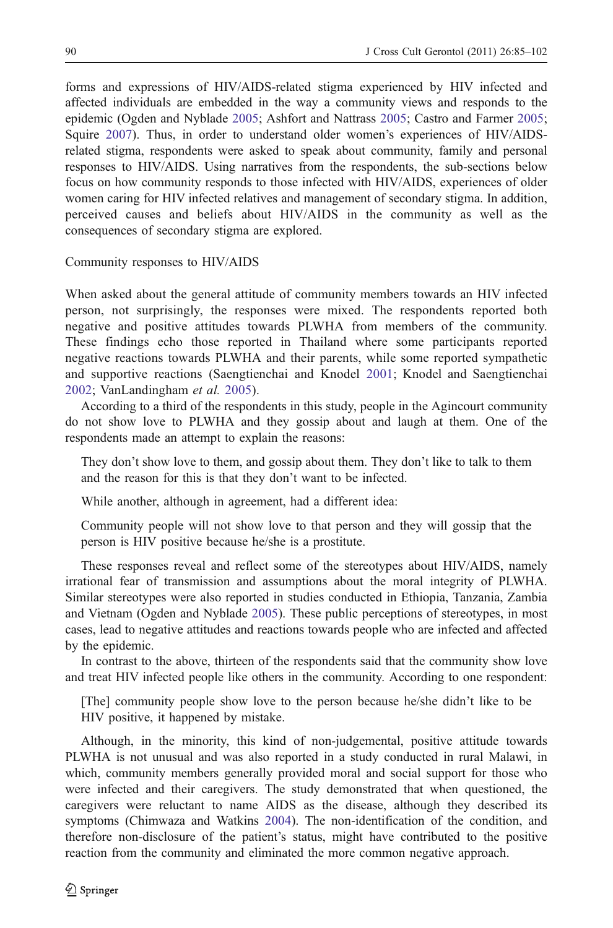forms and expressions of HIV/AIDS-related stigma experienced by HIV infected and affected individuals are embedded in the way a community views and responds to the epidemic (Ogden and Nyblade [2005;](#page-16-0) Ashfort and Nattrass [2005;](#page-15-0) Castro and Farmer [2005](#page-16-0); Squire [2007\)](#page-17-0). Thus, in order to understand older women's experiences of HIV/AIDSrelated stigma, respondents were asked to speak about community, family and personal responses to HIV/AIDS. Using narratives from the respondents, the sub-sections below focus on how community responds to those infected with HIV/AIDS, experiences of older women caring for HIV infected relatives and management of secondary stigma. In addition, perceived causes and beliefs about HIV/AIDS in the community as well as the consequences of secondary stigma are explored.

Community responses to HIV/AIDS

When asked about the general attitude of community members towards an HIV infected person, not surprisingly, the responses were mixed. The respondents reported both negative and positive attitudes towards PLWHA from members of the community. These findings echo those reported in Thailand where some participants reported negative reactions towards PLWHA and their parents, while some reported sympathetic and supportive reactions (Saengtienchai and Knodel [2001](#page-17-0); Knodel and Saengtienchai [2002](#page-16-0); VanLandingham et al. [2005\)](#page-17-0).

According to a third of the respondents in this study, people in the Agincourt community do not show love to PLWHA and they gossip about and laugh at them. One of the respondents made an attempt to explain the reasons:

They don't show love to them, and gossip about them. They don't like to talk to them and the reason for this is that they don't want to be infected.

While another, although in agreement, had a different idea:

Community people will not show love to that person and they will gossip that the person is HIV positive because he/she is a prostitute.

These responses reveal and reflect some of the stereotypes about HIV/AIDS, namely irrational fear of transmission and assumptions about the moral integrity of PLWHA. Similar stereotypes were also reported in studies conducted in Ethiopia, Tanzania, Zambia and Vietnam (Ogden and Nyblade [2005\)](#page-16-0). These public perceptions of stereotypes, in most cases, lead to negative attitudes and reactions towards people who are infected and affected by the epidemic.

In contrast to the above, thirteen of the respondents said that the community show love and treat HIV infected people like others in the community. According to one respondent:

[The] community people show love to the person because he/she didn't like to be HIV positive, it happened by mistake.

Although, in the minority, this kind of non-judgemental, positive attitude towards PLWHA is not unusual and was also reported in a study conducted in rural Malawi, in which, community members generally provided moral and social support for those who were infected and their caregivers. The study demonstrated that when questioned, the caregivers were reluctant to name AIDS as the disease, although they described its symptoms (Chimwaza and Watkins [2004\)](#page-16-0). The non-identification of the condition, and therefore non-disclosure of the patient's status, might have contributed to the positive reaction from the community and eliminated the more common negative approach.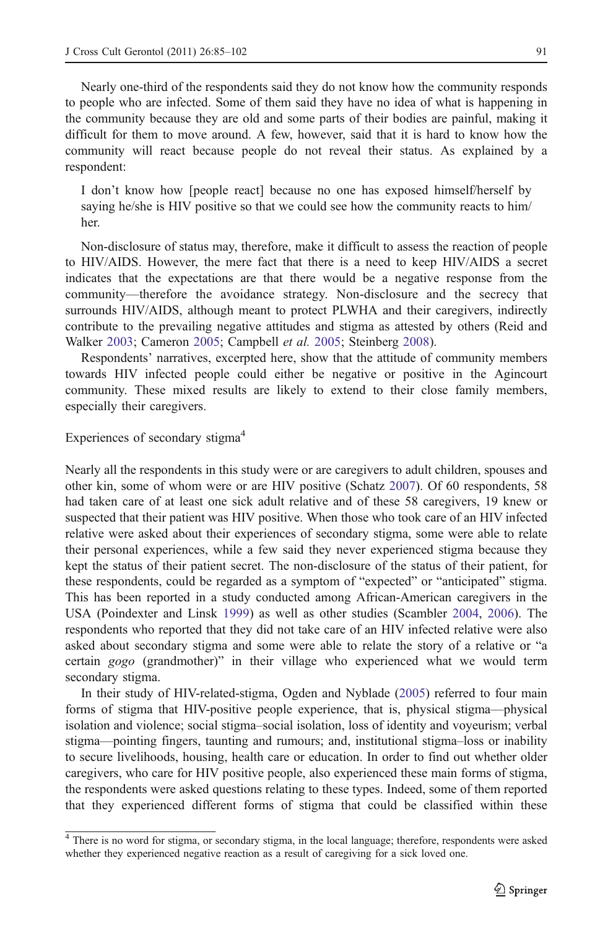Nearly one-third of the respondents said they do not know how the community responds to people who are infected. Some of them said they have no idea of what is happening in the community because they are old and some parts of their bodies are painful, making it difficult for them to move around. A few, however, said that it is hard to know how the community will react because people do not reveal their status. As explained by a respondent:

I don't know how [people react] because no one has exposed himself/herself by saying he/she is HIV positive so that we could see how the community reacts to him/ her.

Non-disclosure of status may, therefore, make it difficult to assess the reaction of people to HIV/AIDS. However, the mere fact that there is a need to keep HIV/AIDS a secret indicates that the expectations are that there would be a negative response from the community—therefore the avoidance strategy. Non-disclosure and the secrecy that surrounds HIV/AIDS, although meant to protect PLWHA and their caregivers, indirectly contribute to the prevailing negative attitudes and stigma as attested by others (Reid and Walker [2003;](#page-17-0) Cameron [2005;](#page-15-0) Campbell et al. [2005;](#page-16-0) Steinberg [2008](#page-17-0)).

Respondents' narratives, excerpted here, show that the attitude of community members towards HIV infected people could either be negative or positive in the Agincourt community. These mixed results are likely to extend to their close family members, especially their caregivers.

# Experiences of secondary stigma<sup>4</sup>

Nearly all the respondents in this study were or are caregivers to adult children, spouses and other kin, some of whom were or are HIV positive (Schatz [2007](#page-17-0)). Of 60 respondents, 58 had taken care of at least one sick adult relative and of these 58 caregivers, 19 knew or suspected that their patient was HIV positive. When those who took care of an HIV infected relative were asked about their experiences of secondary stigma, some were able to relate their personal experiences, while a few said they never experienced stigma because they kept the status of their patient secret. The non-disclosure of the status of their patient, for these respondents, could be regarded as a symptom of "expected" or "anticipated" stigma. This has been reported in a study conducted among African-American caregivers in the USA (Poindexter and Linsk [1999\)](#page-16-0) as well as other studies (Scambler [2004](#page-17-0), [2006\)](#page-17-0). The respondents who reported that they did not take care of an HIV infected relative were also asked about secondary stigma and some were able to relate the story of a relative or "a certain gogo (grandmother)" in their village who experienced what we would term secondary stigma.

In their study of HIV-related-stigma, Ogden and Nyblade [\(2005](#page-16-0)) referred to four main forms of stigma that HIV-positive people experience, that is, physical stigma—physical isolation and violence; social stigma–social isolation, loss of identity and voyeurism; verbal stigma—pointing fingers, taunting and rumours; and, institutional stigma–loss or inability to secure livelihoods, housing, health care or education. In order to find out whether older caregivers, who care for HIV positive people, also experienced these main forms of stigma, the respondents were asked questions relating to these types. Indeed, some of them reported that they experienced different forms of stigma that could be classified within these

<sup>&</sup>lt;sup>4</sup> There is no word for stigma, or secondary stigma, in the local language; therefore, respondents were asked whether they experienced negative reaction as a result of caregiving for a sick loved one.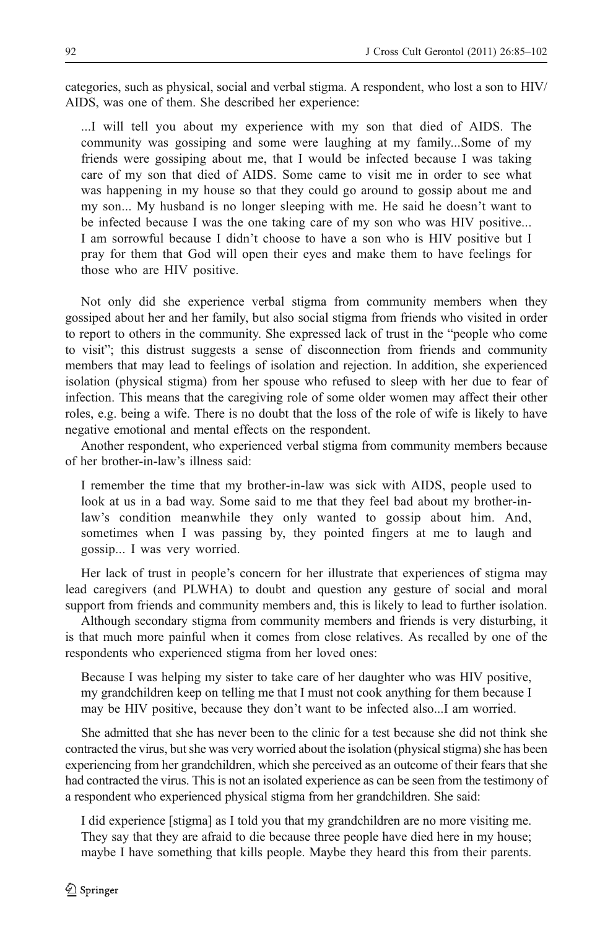categories, such as physical, social and verbal stigma. A respondent, who lost a son to HIV/ AIDS, was one of them. She described her experience:

...I will tell you about my experience with my son that died of AIDS. The community was gossiping and some were laughing at my family...Some of my friends were gossiping about me, that I would be infected because I was taking care of my son that died of AIDS. Some came to visit me in order to see what was happening in my house so that they could go around to gossip about me and my son... My husband is no longer sleeping with me. He said he doesn't want to be infected because I was the one taking care of my son who was HIV positive... I am sorrowful because I didn't choose to have a son who is HIV positive but I pray for them that God will open their eyes and make them to have feelings for those who are HIV positive.

Not only did she experience verbal stigma from community members when they gossiped about her and her family, but also social stigma from friends who visited in order to report to others in the community. She expressed lack of trust in the "people who come to visit"; this distrust suggests a sense of disconnection from friends and community members that may lead to feelings of isolation and rejection. In addition, she experienced isolation (physical stigma) from her spouse who refused to sleep with her due to fear of infection. This means that the caregiving role of some older women may affect their other roles, e.g. being a wife. There is no doubt that the loss of the role of wife is likely to have negative emotional and mental effects on the respondent.

Another respondent, who experienced verbal stigma from community members because of her brother-in-law's illness said:

I remember the time that my brother-in-law was sick with AIDS, people used to look at us in a bad way. Some said to me that they feel bad about my brother-inlaw's condition meanwhile they only wanted to gossip about him. And, sometimes when I was passing by, they pointed fingers at me to laugh and gossip... I was very worried.

Her lack of trust in people's concern for her illustrate that experiences of stigma may lead caregivers (and PLWHA) to doubt and question any gesture of social and moral support from friends and community members and, this is likely to lead to further isolation.

Although secondary stigma from community members and friends is very disturbing, it is that much more painful when it comes from close relatives. As recalled by one of the respondents who experienced stigma from her loved ones:

Because I was helping my sister to take care of her daughter who was HIV positive, my grandchildren keep on telling me that I must not cook anything for them because I may be HIV positive, because they don't want to be infected also...I am worried.

She admitted that she has never been to the clinic for a test because she did not think she contracted the virus, but she was very worried about the isolation (physical stigma) she has been experiencing from her grandchildren, which she perceived as an outcome of their fears that she had contracted the virus. This is not an isolated experience as can be seen from the testimony of a respondent who experienced physical stigma from her grandchildren. She said:

I did experience [stigma] as I told you that my grandchildren are no more visiting me. They say that they are afraid to die because three people have died here in my house; maybe I have something that kills people. Maybe they heard this from their parents.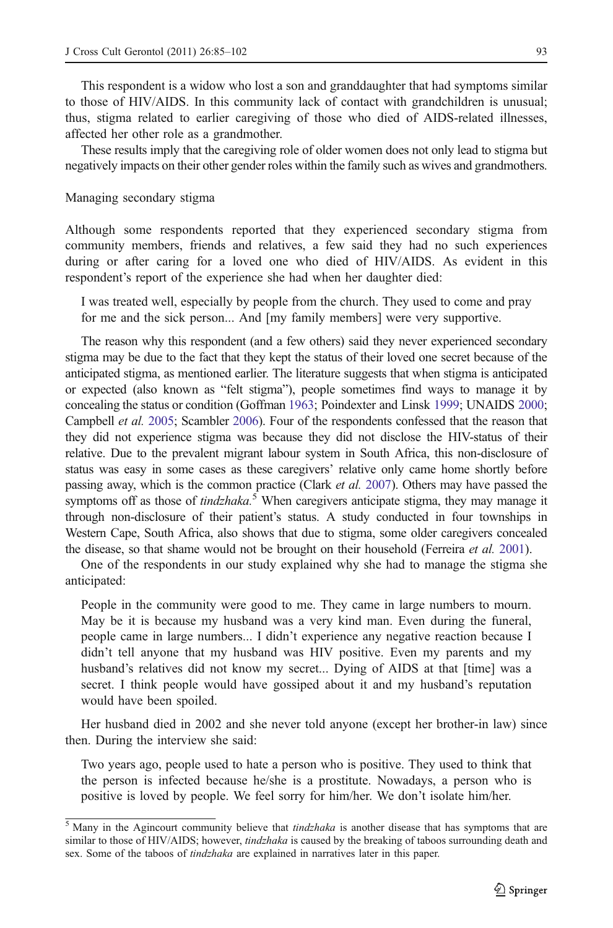This respondent is a widow who lost a son and granddaughter that had symptoms similar to those of HIV/AIDS. In this community lack of contact with grandchildren is unusual; thus, stigma related to earlier caregiving of those who died of AIDS-related illnesses, affected her other role as a grandmother.

These results imply that the caregiving role of older women does not only lead to stigma but negatively impacts on their other gender roles within the family such as wives and grandmothers.

# Managing secondary stigma

Although some respondents reported that they experienced secondary stigma from community members, friends and relatives, a few said they had no such experiences during or after caring for a loved one who died of HIV/AIDS. As evident in this respondent's report of the experience she had when her daughter died:

I was treated well, especially by people from the church. They used to come and pray for me and the sick person... And [my family members] were very supportive.

The reason why this respondent (and a few others) said they never experienced secondary stigma may be due to the fact that they kept the status of their loved one secret because of the anticipated stigma, as mentioned earlier. The literature suggests that when stigma is anticipated or expected (also known as "felt stigma"), people sometimes find ways to manage it by concealing the status or condition (Goffman [1963](#page-16-0); Poindexter and Linsk [1999](#page-16-0); UNAIDS [2000](#page-17-0); Campbell et al. [2005;](#page-16-0) Scambler [2006](#page-17-0)). Four of the respondents confessed that the reason that they did not experience stigma was because they did not disclose the HIV-status of their relative. Due to the prevalent migrant labour system in South Africa, this non-disclosure of status was easy in some cases as these caregivers' relative only came home shortly before passing away, which is the common practice (Clark et al. [2007\)](#page-16-0). Others may have passed the symptoms off as those of *tindzhaka*.<sup>5</sup> When caregivers anticipate stigma, they may manage it through non-disclosure of their patient's status. A study conducted in four townships in Western Cape, South Africa, also shows that due to stigma, some older caregivers concealed the disease, so that shame would not be brought on their household (Ferreira *et al.* [2001](#page-16-0)).

One of the respondents in our study explained why she had to manage the stigma she anticipated:

People in the community were good to me. They came in large numbers to mourn. May be it is because my husband was a very kind man. Even during the funeral, people came in large numbers... I didn't experience any negative reaction because I didn't tell anyone that my husband was HIV positive. Even my parents and my husband's relatives did not know my secret... Dying of AIDS at that [time] was a secret. I think people would have gossiped about it and my husband's reputation would have been spoiled.

Her husband died in 2002 and she never told anyone (except her brother-in law) since then. During the interview she said:

Two years ago, people used to hate a person who is positive. They used to think that the person is infected because he/she is a prostitute. Nowadays, a person who is positive is loved by people. We feel sorry for him/her. We don't isolate him/her.

 $<sup>5</sup>$  Many in the Agincourt community believe that *tindzhaka* is another disease that has symptoms that are</sup> similar to those of HIV/AIDS; however, *tindzhaka* is caused by the breaking of taboos surrounding death and sex. Some of the taboos of *tindzhaka* are explained in narratives later in this paper.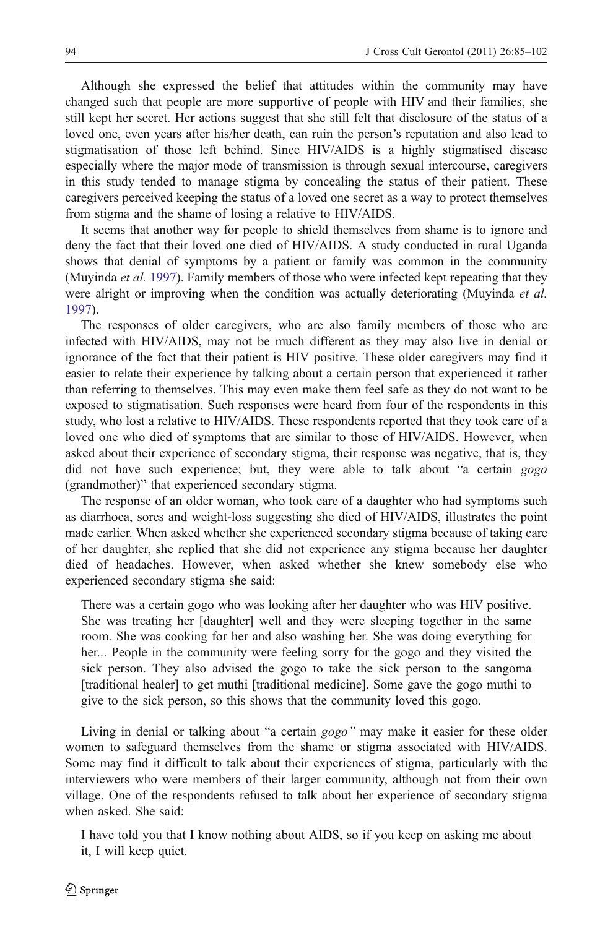Although she expressed the belief that attitudes within the community may have changed such that people are more supportive of people with HIV and their families, she still kept her secret. Her actions suggest that she still felt that disclosure of the status of a loved one, even years after his/her death, can ruin the person's reputation and also lead to stigmatisation of those left behind. Since HIV/AIDS is a highly stigmatised disease especially where the major mode of transmission is through sexual intercourse, caregivers in this study tended to manage stigma by concealing the status of their patient. These caregivers perceived keeping the status of a loved one secret as a way to protect themselves from stigma and the shame of losing a relative to HIV/AIDS.

It seems that another way for people to shield themselves from shame is to ignore and deny the fact that their loved one died of HIV/AIDS. A study conducted in rural Uganda shows that denial of symptoms by a patient or family was common in the community (Muyinda *et al.* [1997](#page-16-0)). Family members of those who were infected kept repeating that they were alright or improving when the condition was actually deteriorating (Muyinda *et al.*) [1997\)](#page-16-0).

The responses of older caregivers, who are also family members of those who are infected with HIV/AIDS, may not be much different as they may also live in denial or ignorance of the fact that their patient is HIV positive. These older caregivers may find it easier to relate their experience by talking about a certain person that experienced it rather than referring to themselves. This may even make them feel safe as they do not want to be exposed to stigmatisation. Such responses were heard from four of the respondents in this study, who lost a relative to HIV/AIDS. These respondents reported that they took care of a loved one who died of symptoms that are similar to those of HIV/AIDS. However, when asked about their experience of secondary stigma, their response was negative, that is, they did not have such experience; but, they were able to talk about "a certain gogo (grandmother)" that experienced secondary stigma.

The response of an older woman, who took care of a daughter who had symptoms such as diarrhoea, sores and weight-loss suggesting she died of HIV/AIDS, illustrates the point made earlier. When asked whether she experienced secondary stigma because of taking care of her daughter, she replied that she did not experience any stigma because her daughter died of headaches. However, when asked whether she knew somebody else who experienced secondary stigma she said:

There was a certain gogo who was looking after her daughter who was HIV positive. She was treating her [daughter] well and they were sleeping together in the same room. She was cooking for her and also washing her. She was doing everything for her... People in the community were feeling sorry for the gogo and they visited the sick person. They also advised the gogo to take the sick person to the sangoma [traditional healer] to get muthi [traditional medicine]. Some gave the gogo muthi to give to the sick person, so this shows that the community loved this gogo.

Living in denial or talking about "a certain gogo" may make it easier for these older women to safeguard themselves from the shame or stigma associated with HIV/AIDS. Some may find it difficult to talk about their experiences of stigma, particularly with the interviewers who were members of their larger community, although not from their own village. One of the respondents refused to talk about her experience of secondary stigma when asked. She said:

I have told you that I know nothing about AIDS, so if you keep on asking me about it, I will keep quiet.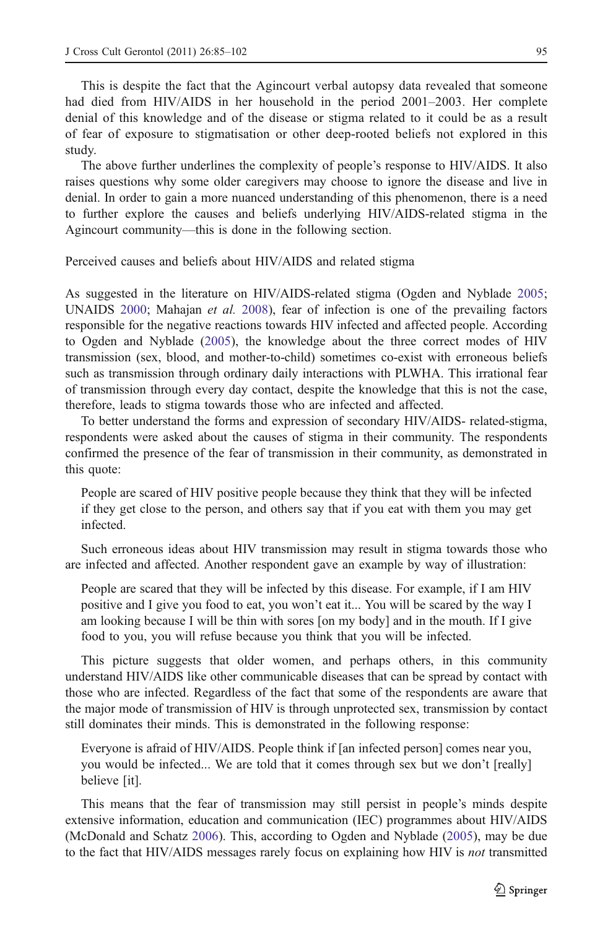This is despite the fact that the Agincourt verbal autopsy data revealed that someone had died from HIV/AIDS in her household in the period 2001–2003. Her complete denial of this knowledge and of the disease or stigma related to it could be as a result of fear of exposure to stigmatisation or other deep-rooted beliefs not explored in this study.

The above further underlines the complexity of people's response to HIV/AIDS. It also raises questions why some older caregivers may choose to ignore the disease and live in denial. In order to gain a more nuanced understanding of this phenomenon, there is a need to further explore the causes and beliefs underlying HIV/AIDS-related stigma in the Agincourt community—this is done in the following section.

Perceived causes and beliefs about HIV/AIDS and related stigma

As suggested in the literature on HIV/AIDS-related stigma (Ogden and Nyblade [2005](#page-16-0); UNAIDS [2000](#page-17-0); Mahajan et al. [2008](#page-16-0)), fear of infection is one of the prevailing factors responsible for the negative reactions towards HIV infected and affected people. According to Ogden and Nyblade ([2005\)](#page-16-0), the knowledge about the three correct modes of HIV transmission (sex, blood, and mother-to-child) sometimes co-exist with erroneous beliefs such as transmission through ordinary daily interactions with PLWHA. This irrational fear of transmission through every day contact, despite the knowledge that this is not the case, therefore, leads to stigma towards those who are infected and affected.

To better understand the forms and expression of secondary HIV/AIDS- related-stigma, respondents were asked about the causes of stigma in their community. The respondents confirmed the presence of the fear of transmission in their community, as demonstrated in this quote:

People are scared of HIV positive people because they think that they will be infected if they get close to the person, and others say that if you eat with them you may get infected.

Such erroneous ideas about HIV transmission may result in stigma towards those who are infected and affected. Another respondent gave an example by way of illustration:

People are scared that they will be infected by this disease. For example, if I am HIV positive and I give you food to eat, you won't eat it... You will be scared by the way I am looking because I will be thin with sores [on my body] and in the mouth. If I give food to you, you will refuse because you think that you will be infected.

This picture suggests that older women, and perhaps others, in this community understand HIV/AIDS like other communicable diseases that can be spread by contact with those who are infected. Regardless of the fact that some of the respondents are aware that the major mode of transmission of HIV is through unprotected sex, transmission by contact still dominates their minds. This is demonstrated in the following response:

Everyone is afraid of HIV/AIDS. People think if [an infected person] comes near you, you would be infected... We are told that it comes through sex but we don't [really] believe [it].

This means that the fear of transmission may still persist in people's minds despite extensive information, education and communication (IEC) programmes about HIV/AIDS (McDonald and Schatz [2006\)](#page-16-0). This, according to Ogden and Nyblade [\(2005](#page-16-0)), may be due to the fact that HIV/AIDS messages rarely focus on explaining how HIV is *not* transmitted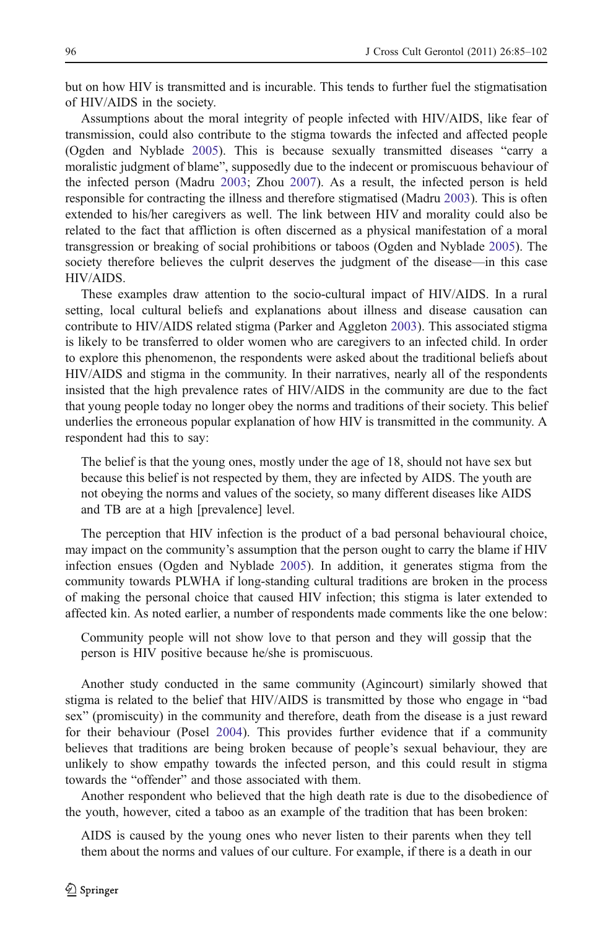but on how HIV is transmitted and is incurable. This tends to further fuel the stigmatisation of HIV/AIDS in the society.

Assumptions about the moral integrity of people infected with HIV/AIDS, like fear of transmission, could also contribute to the stigma towards the infected and affected people (Ogden and Nyblade [2005\)](#page-16-0). This is because sexually transmitted diseases "carry a moralistic judgment of blame", supposedly due to the indecent or promiscuous behaviour of the infected person (Madru [2003](#page-16-0); Zhou [2007\)](#page-17-0). As a result, the infected person is held responsible for contracting the illness and therefore stigmatised (Madru [2003](#page-16-0)). This is often extended to his/her caregivers as well. The link between HIV and morality could also be related to the fact that affliction is often discerned as a physical manifestation of a moral transgression or breaking of social prohibitions or taboos (Ogden and Nyblade [2005\)](#page-16-0). The society therefore believes the culprit deserves the judgment of the disease—in this case HIV/AIDS.

These examples draw attention to the socio-cultural impact of HIV/AIDS. In a rural setting, local cultural beliefs and explanations about illness and disease causation can contribute to HIV/AIDS related stigma (Parker and Aggleton [2003](#page-16-0)). This associated stigma is likely to be transferred to older women who are caregivers to an infected child. In order to explore this phenomenon, the respondents were asked about the traditional beliefs about HIV/AIDS and stigma in the community. In their narratives, nearly all of the respondents insisted that the high prevalence rates of HIV/AIDS in the community are due to the fact that young people today no longer obey the norms and traditions of their society. This belief underlies the erroneous popular explanation of how HIV is transmitted in the community. A respondent had this to say:

The belief is that the young ones, mostly under the age of 18, should not have sex but because this belief is not respected by them, they are infected by AIDS. The youth are not obeying the norms and values of the society, so many different diseases like AIDS and TB are at a high [prevalence] level.

The perception that HIV infection is the product of a bad personal behavioural choice, may impact on the community's assumption that the person ought to carry the blame if HIV infection ensues (Ogden and Nyblade [2005\)](#page-16-0). In addition, it generates stigma from the community towards PLWHA if long-standing cultural traditions are broken in the process of making the personal choice that caused HIV infection; this stigma is later extended to affected kin. As noted earlier, a number of respondents made comments like the one below:

Community people will not show love to that person and they will gossip that the person is HIV positive because he/she is promiscuous.

Another study conducted in the same community (Agincourt) similarly showed that stigma is related to the belief that HIV/AIDS is transmitted by those who engage in "bad sex" (promiscuity) in the community and therefore, death from the disease is a just reward for their behaviour (Posel [2004\)](#page-16-0). This provides further evidence that if a community believes that traditions are being broken because of people's sexual behaviour, they are unlikely to show empathy towards the infected person, and this could result in stigma towards the "offender" and those associated with them.

Another respondent who believed that the high death rate is due to the disobedience of the youth, however, cited a taboo as an example of the tradition that has been broken:

AIDS is caused by the young ones who never listen to their parents when they tell them about the norms and values of our culture. For example, if there is a death in our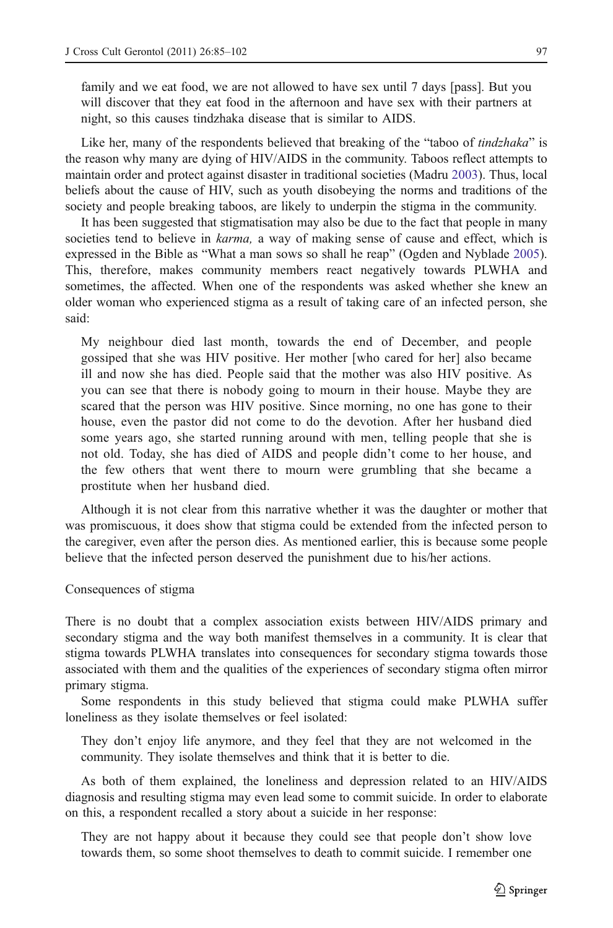family and we eat food, we are not allowed to have sex until 7 days [pass]. But you will discover that they eat food in the afternoon and have sex with their partners at night, so this causes tindzhaka disease that is similar to AIDS.

Like her, many of the respondents believed that breaking of the "taboo of *tindzhaka*" is the reason why many are dying of HIV/AIDS in the community. Taboos reflect attempts to maintain order and protect against disaster in traditional societies (Madru [2003\)](#page-16-0). Thus, local beliefs about the cause of HIV, such as youth disobeying the norms and traditions of the society and people breaking taboos, are likely to underpin the stigma in the community.

It has been suggested that stigmatisation may also be due to the fact that people in many societies tend to believe in *karma*, a way of making sense of cause and effect, which is expressed in the Bible as "What a man sows so shall he reap" (Ogden and Nyblade [2005](#page-16-0)). This, therefore, makes community members react negatively towards PLWHA and sometimes, the affected. When one of the respondents was asked whether she knew an older woman who experienced stigma as a result of taking care of an infected person, she said:

My neighbour died last month, towards the end of December, and people gossiped that she was HIV positive. Her mother [who cared for her] also became ill and now she has died. People said that the mother was also HIV positive. As you can see that there is nobody going to mourn in their house. Maybe they are scared that the person was HIV positive. Since morning, no one has gone to their house, even the pastor did not come to do the devotion. After her husband died some years ago, she started running around with men, telling people that she is not old. Today, she has died of AIDS and people didn't come to her house, and the few others that went there to mourn were grumbling that she became a prostitute when her husband died.

Although it is not clear from this narrative whether it was the daughter or mother that was promiscuous, it does show that stigma could be extended from the infected person to the caregiver, even after the person dies. As mentioned earlier, this is because some people believe that the infected person deserved the punishment due to his/her actions.

#### Consequences of stigma

There is no doubt that a complex association exists between HIV/AIDS primary and secondary stigma and the way both manifest themselves in a community. It is clear that stigma towards PLWHA translates into consequences for secondary stigma towards those associated with them and the qualities of the experiences of secondary stigma often mirror primary stigma.

Some respondents in this study believed that stigma could make PLWHA suffer loneliness as they isolate themselves or feel isolated:

They don't enjoy life anymore, and they feel that they are not welcomed in the community. They isolate themselves and think that it is better to die.

As both of them explained, the loneliness and depression related to an HIV/AIDS diagnosis and resulting stigma may even lead some to commit suicide. In order to elaborate on this, a respondent recalled a story about a suicide in her response:

They are not happy about it because they could see that people don't show love towards them, so some shoot themselves to death to commit suicide. I remember one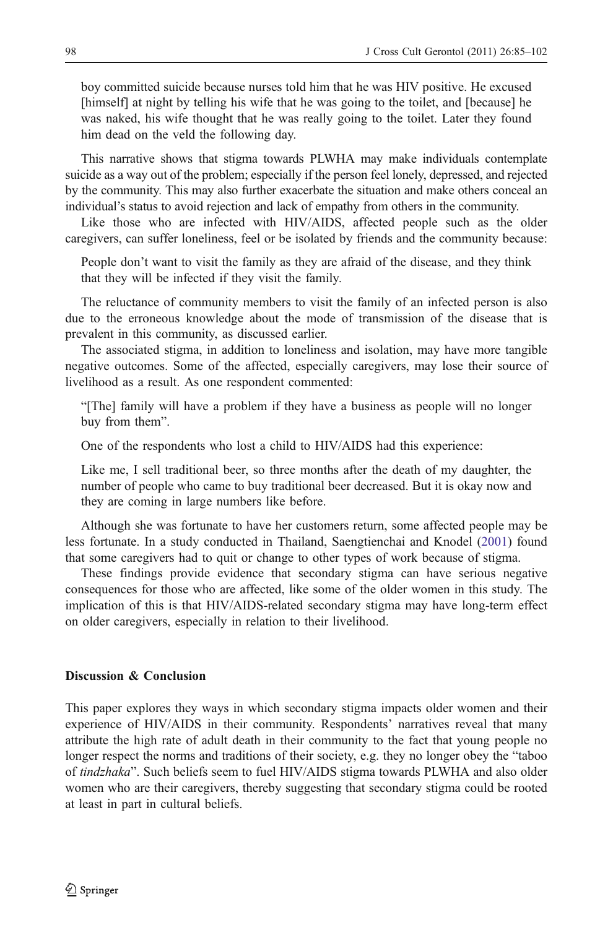boy committed suicide because nurses told him that he was HIV positive. He excused [himself] at night by telling his wife that he was going to the toilet, and [because] he was naked, his wife thought that he was really going to the toilet. Later they found him dead on the veld the following day.

This narrative shows that stigma towards PLWHA may make individuals contemplate suicide as a way out of the problem; especially if the person feel lonely, depressed, and rejected by the community. This may also further exacerbate the situation and make others conceal an individual's status to avoid rejection and lack of empathy from others in the community.

Like those who are infected with HIV/AIDS, affected people such as the older caregivers, can suffer loneliness, feel or be isolated by friends and the community because:

People don't want to visit the family as they are afraid of the disease, and they think that they will be infected if they visit the family.

The reluctance of community members to visit the family of an infected person is also due to the erroneous knowledge about the mode of transmission of the disease that is prevalent in this community, as discussed earlier.

The associated stigma, in addition to loneliness and isolation, may have more tangible negative outcomes. Some of the affected, especially caregivers, may lose their source of livelihood as a result. As one respondent commented:

"[The] family will have a problem if they have a business as people will no longer buy from them".

One of the respondents who lost a child to HIV/AIDS had this experience:

Like me, I sell traditional beer, so three months after the death of my daughter, the number of people who came to buy traditional beer decreased. But it is okay now and they are coming in large numbers like before.

Although she was fortunate to have her customers return, some affected people may be less fortunate. In a study conducted in Thailand, Saengtienchai and Knodel [\(2001](#page-17-0)) found that some caregivers had to quit or change to other types of work because of stigma.

These findings provide evidence that secondary stigma can have serious negative consequences for those who are affected, like some of the older women in this study. The implication of this is that HIV/AIDS-related secondary stigma may have long-term effect on older caregivers, especially in relation to their livelihood.

# Discussion & Conclusion

This paper explores they ways in which secondary stigma impacts older women and their experience of HIV/AIDS in their community. Respondents' narratives reveal that many attribute the high rate of adult death in their community to the fact that young people no longer respect the norms and traditions of their society, e.g. they no longer obey the "taboo of tindzhaka". Such beliefs seem to fuel HIV/AIDS stigma towards PLWHA and also older women who are their caregivers, thereby suggesting that secondary stigma could be rooted at least in part in cultural beliefs.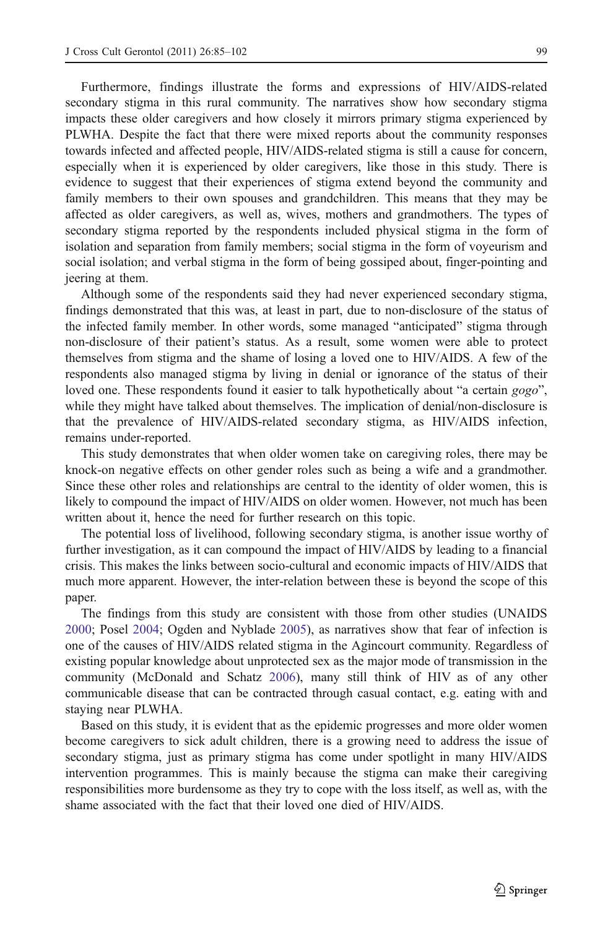jeering at them.

Furthermore, findings illustrate the forms and expressions of HIV/AIDS-related secondary stigma in this rural community. The narratives show how secondary stigma impacts these older caregivers and how closely it mirrors primary stigma experienced by PLWHA. Despite the fact that there were mixed reports about the community responses towards infected and affected people, HIV/AIDS-related stigma is still a cause for concern, especially when it is experienced by older caregivers, like those in this study. There is evidence to suggest that their experiences of stigma extend beyond the community and family members to their own spouses and grandchildren. This means that they may be affected as older caregivers, as well as, wives, mothers and grandmothers. The types of secondary stigma reported by the respondents included physical stigma in the form of isolation and separation from family members; social stigma in the form of voyeurism and

Although some of the respondents said they had never experienced secondary stigma, findings demonstrated that this was, at least in part, due to non-disclosure of the status of the infected family member. In other words, some managed "anticipated" stigma through non-disclosure of their patient's status. As a result, some women were able to protect themselves from stigma and the shame of losing a loved one to HIV/AIDS. A few of the respondents also managed stigma by living in denial or ignorance of the status of their loved one. These respondents found it easier to talk hypothetically about "a certain gogo", while they might have talked about themselves. The implication of denial/non-disclosure is that the prevalence of HIV/AIDS-related secondary stigma, as HIV/AIDS infection, remains under-reported.

social isolation; and verbal stigma in the form of being gossiped about, finger-pointing and

This study demonstrates that when older women take on caregiving roles, there may be knock-on negative effects on other gender roles such as being a wife and a grandmother. Since these other roles and relationships are central to the identity of older women, this is likely to compound the impact of HIV/AIDS on older women. However, not much has been written about it, hence the need for further research on this topic.

The potential loss of livelihood, following secondary stigma, is another issue worthy of further investigation, as it can compound the impact of HIV/AIDS by leading to a financial crisis. This makes the links between socio-cultural and economic impacts of HIV/AIDS that much more apparent. However, the inter-relation between these is beyond the scope of this paper.

The findings from this study are consistent with those from other studies (UNAIDS [2000;](#page-17-0) Posel [2004](#page-16-0); Ogden and Nyblade [2005\)](#page-16-0), as narratives show that fear of infection is one of the causes of HIV/AIDS related stigma in the Agincourt community. Regardless of existing popular knowledge about unprotected sex as the major mode of transmission in the community (McDonald and Schatz [2006](#page-16-0)), many still think of HIV as of any other communicable disease that can be contracted through casual contact, e.g. eating with and staying near PLWHA.

Based on this study, it is evident that as the epidemic progresses and more older women become caregivers to sick adult children, there is a growing need to address the issue of secondary stigma, just as primary stigma has come under spotlight in many HIV/AIDS intervention programmes. This is mainly because the stigma can make their caregiving responsibilities more burdensome as they try to cope with the loss itself, as well as, with the shame associated with the fact that their loved one died of HIV/AIDS.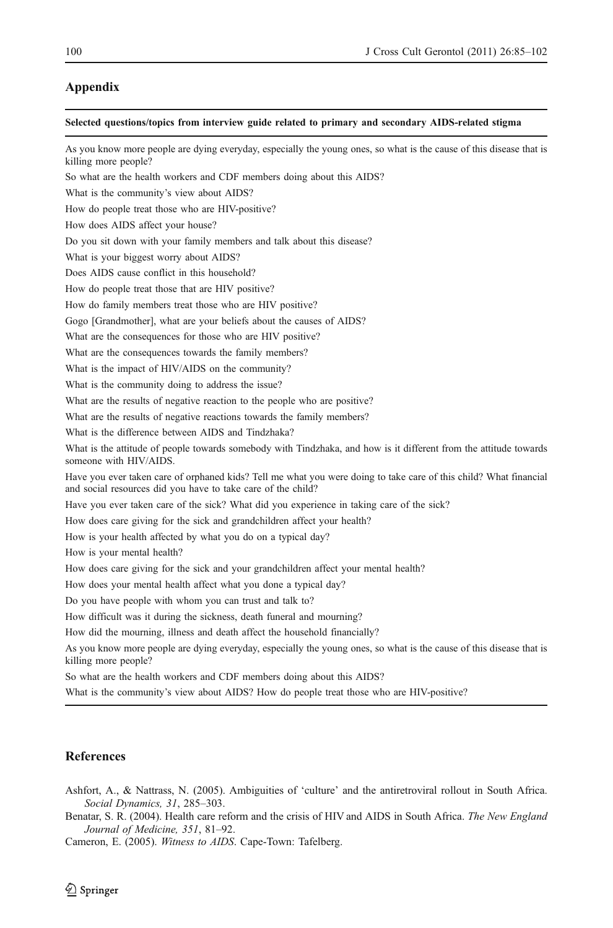# <span id="page-15-0"></span>Appendix

#### Selected questions/topics from interview guide related to primary and secondary AIDS-related stigma

As you know more people are dying everyday, especially the young ones, so what is the cause of this disease that is killing more people?

So what are the health workers and CDF members doing about this AIDS?

What is the community's view about AIDS?

How do people treat those who are HIV-positive?

How does AIDS affect your house?

Do you sit down with your family members and talk about this disease?

What is your biggest worry about AIDS?

Does AIDS cause conflict in this household?

How do people treat those that are HIV positive?

How do family members treat those who are HIV positive?

Gogo [Grandmother], what are your beliefs about the causes of AIDS?

What are the consequences for those who are HIV positive?

What are the consequences towards the family members?

What is the impact of HIV/AIDS on the community?

What is the community doing to address the issue?

What are the results of negative reaction to the people who are positive?

What are the results of negative reactions towards the family members?

What is the difference between AIDS and Tindzhaka?

What is the attitude of people towards somebody with Tindzhaka, and how is it different from the attitude towards someone with HIV/AIDS.

Have you ever taken care of orphaned kids? Tell me what you were doing to take care of this child? What financial and social resources did you have to take care of the child?

Have you ever taken care of the sick? What did you experience in taking care of the sick?

How does care giving for the sick and grandchildren affect your health?

How is your health affected by what you do on a typical day?

How is your mental health?

How does care giving for the sick and your grandchildren affect your mental health?

How does your mental health affect what you done a typical day?

Do you have people with whom you can trust and talk to?

How difficult was it during the sickness, death funeral and mourning?

How did the mourning, illness and death affect the household financially?

As you know more people are dying everyday, especially the young ones, so what is the cause of this disease that is killing more people?

So what are the health workers and CDF members doing about this AIDS?

What is the community's view about AIDS? How do people treat those who are HIV-positive?

#### **References**

Ashfort, A., & Nattrass, N. (2005). Ambiguities of 'culture' and the antiretroviral rollout in South Africa. Social Dynamics, 31, 285–303.

Benatar, S. R. (2004). Health care reform and the crisis of HIV and AIDS in South Africa. The New England Journal of Medicine, 351, 81–92.

Cameron, E. (2005). Witness to AIDS. Cape-Town: Tafelberg.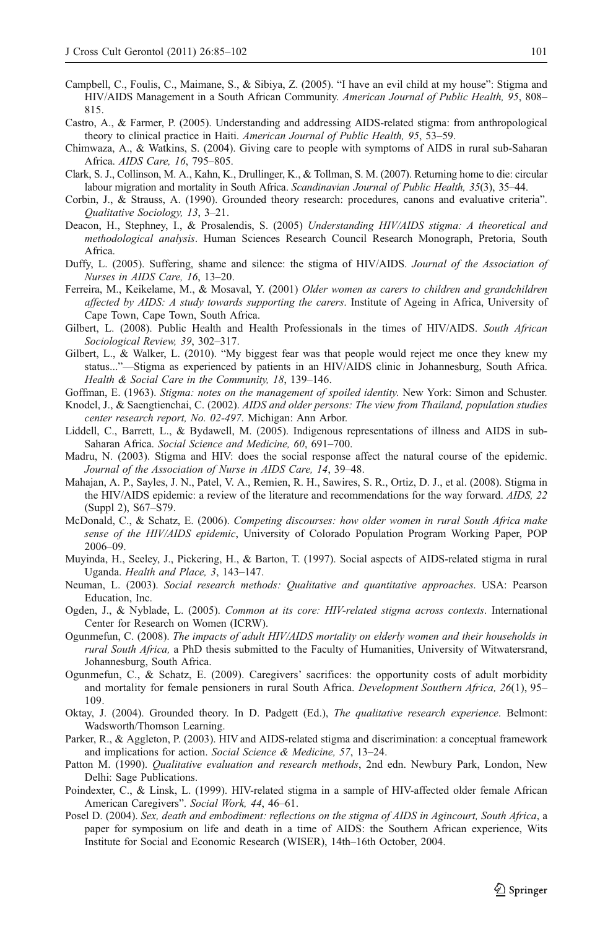- <span id="page-16-0"></span>Campbell, C., Foulis, C., Maimane, S., & Sibiya, Z. (2005). "I have an evil child at my house": Stigma and HIV/AIDS Management in a South African Community. American Journal of Public Health, 95, 808– 815.
- Castro, A., & Farmer, P. (2005). Understanding and addressing AIDS-related stigma: from anthropological theory to clinical practice in Haiti. American Journal of Public Health, 95, 53–59.
- Chimwaza, A., & Watkins, S. (2004). Giving care to people with symptoms of AIDS in rural sub-Saharan Africa. AIDS Care, 16, 795–805.
- Clark, S. J., Collinson, M. A., Kahn, K., Drullinger, K., & Tollman, S. M. (2007). Returning home to die: circular labour migration and mortality in South Africa. Scandinavian Journal of Public Health, 35(3), 35–44.
- Corbin, J., & Strauss, A. (1990). Grounded theory research: procedures, canons and evaluative criteria". Qualitative Sociology, 13, 3–21.
- Deacon, H., Stephney, I., & Prosalendis, S. (2005) Understanding HIV/AIDS stigma: A theoretical and methodological analysis. Human Sciences Research Council Research Monograph, Pretoria, South Africa.
- Duffy, L. (2005). Suffering, shame and silence: the stigma of HIV/AIDS. Journal of the Association of Nurses in AIDS Care, 16, 13–20.
- Ferreira, M., Keikelame, M., & Mosaval, Y. (2001) Older women as carers to children and grandchildren affected by AIDS: A study towards supporting the carers. Institute of Ageing in Africa, University of Cape Town, Cape Town, South Africa.
- Gilbert, L. (2008). Public Health and Health Professionals in the times of HIV/AIDS. South African Sociological Review, 39, 302–317.
- Gilbert, L., & Walker, L. (2010). "My biggest fear was that people would reject me once they knew my status..."—Stigma as experienced by patients in an HIV/AIDS clinic in Johannesburg, South Africa. Health & Social Care in the Community, 18, 139–146.

Goffman, E. (1963). Stigma: notes on the management of spoiled identity. New York: Simon and Schuster.

- Knodel, J., & Saengtienchai, C. (2002). AIDS and older persons: The view from Thailand, population studies center research report, No. 02-497. Michigan: Ann Arbor.
- Liddell, C., Barrett, L., & Bydawell, M. (2005). Indigenous representations of illness and AIDS in sub-Saharan Africa. Social Science and Medicine, 60, 691–700.
- Madru, N. (2003). Stigma and HIV: does the social response affect the natural course of the epidemic. Journal of the Association of Nurse in AIDS Care, 14, 39–48.
- Mahajan, A. P., Sayles, J. N., Patel, V. A., Remien, R. H., Sawires, S. R., Ortiz, D. J., et al. (2008). Stigma in the HIV/AIDS epidemic: a review of the literature and recommendations for the way forward. AIDS, 22 (Suppl 2), S67–S79.
- McDonald, C., & Schatz, E. (2006). Competing discourses: how older women in rural South Africa make sense of the HIV/AIDS epidemic, University of Colorado Population Program Working Paper, POP 2006–09.
- Muyinda, H., Seeley, J., Pickering, H., & Barton, T. (1997). Social aspects of AIDS-related stigma in rural Uganda. Health and Place, 3, 143–147.
- Neuman, L. (2003). Social research methods: Qualitative and quantitative approaches. USA: Pearson Education, Inc.
- Ogden, J., & Nyblade, L. (2005). Common at its core: HIV-related stigma across contexts. International Center for Research on Women (ICRW).
- Ogunmefun, C. (2008). The impacts of adult HIV/AIDS mortality on elderly women and their households in rural South Africa, a PhD thesis submitted to the Faculty of Humanities, University of Witwatersrand, Johannesburg, South Africa.
- Ogunmefun, C., & Schatz, E. (2009). Caregivers' sacrifices: the opportunity costs of adult morbidity and mortality for female pensioners in rural South Africa. Development Southern Africa, 26(1), 95– 109.
- Oktay, J. (2004). Grounded theory. In D. Padgett (Ed.), The qualitative research experience. Belmont: Wadsworth/Thomson Learning.
- Parker, R., & Aggleton, P. (2003). HIV and AIDS-related stigma and discrimination: a conceptual framework and implications for action. Social Science & Medicine, 57, 13–24.
- Patton M. (1990). *Qualitative evaluation and research methods*, 2nd edn. Newbury Park, London, New Delhi: Sage Publications.
- Poindexter, C., & Linsk, L. (1999). HIV-related stigma in a sample of HIV-affected older female African American Caregivers". Social Work, 44, 46–61.
- Posel D. (2004). Sex, death and embodiment: reflections on the stigma of AIDS in Agincourt, South Africa, a paper for symposium on life and death in a time of AIDS: the Southern African experience, Wits Institute for Social and Economic Research (WISER), 14th–16th October, 2004.